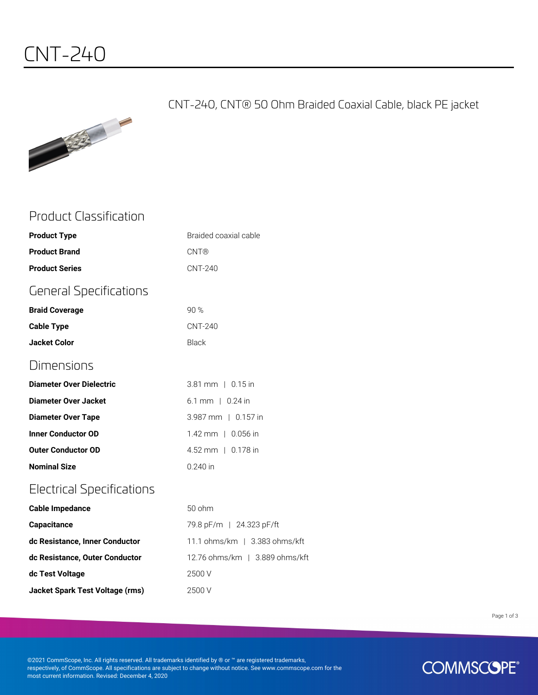CNT-240, CNT® 50 Ohm Braided Coaxial Cable, black PE jacket



### Product Classification

| <b>Product Type</b>              | Braided coaxial cable        |
|----------------------------------|------------------------------|
| <b>Product Brand</b>             | <b>CNT®</b>                  |
| <b>Product Series</b>            | <b>CNT-240</b>               |
| <b>General Specifications</b>    |                              |
| <b>Braid Coverage</b>            | 90%                          |
| <b>Cable Type</b>                | <b>CNT-240</b>               |
| <b>Jacket Color</b>              | <b>Black</b>                 |
| Dimensions                       |                              |
| <b>Diameter Over Dielectric</b>  | 3.81 mm   0.15 in            |
| <b>Diameter Over Jacket</b>      | $6.1 \, \text{mm}$   0.24 in |
| <b>Diameter Over Tape</b>        | 3.987 mm   0.157 in          |
| <b>Inner Conductor OD</b>        | 1.42 mm   0.056 in           |
| <b>Outer Conductor OD</b>        | 4.52 mm   0.178 in           |
| <b>Nominal Size</b>              | $0.240$ in                   |
| <b>Electrical Specifications</b> |                              |
| <b>Cable Impedance</b>           | $50$ ohm                     |
| <b>Capacitance</b>               | 79.8 pF/m   24.323 pF/ft     |
| dc Resistance, Inner Conductor   | 11.1 ohms/km   3.383 ol      |

| dc Resistance, Inner Conductor  | 11.1 ohms/km $\pm$ 3.383 ohms/kft |
|---------------------------------|-----------------------------------|
| dc Resistance, Outer Conductor  | 12.76 ohms/km   3.889 ohms/kft    |
| dc Test Voltage                 | 2500 V                            |
| Jacket Spark Test Voltage (rms) | 2500 V                            |

Page 1 of 3

©2021 CommScope, Inc. All rights reserved. All trademarks identified by ® or ™ are registered trademarks, respectively, of CommScope. All specifications are subject to change without notice. See www.commscope.com for the most current information. Revised: December 4, 2020

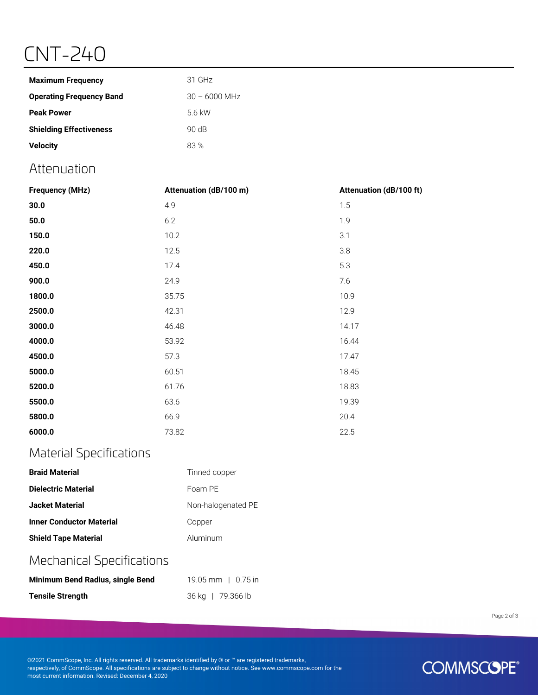# CNT-240

| <b>Maximum Frequency</b>        | 31 GHz          |
|---------------------------------|-----------------|
| <b>Operating Frequency Band</b> | $30 - 6000$ MHz |
| <b>Peak Power</b>               | 5.6 kW          |
| <b>Shielding Effectiveness</b>  | 90 dB           |
| <b>Velocity</b>                 | 83 %            |

### Attenuation

| <b>Frequency (MHz)</b> | Attenuation (dB/100 m) | Attenuation (dB/100 ft) |
|------------------------|------------------------|-------------------------|
| 30.0                   | 4.9                    | 1.5                     |
| 50.0                   | 6.2                    | 1.9                     |
| 150.0                  | 10.2                   | 3.1                     |
| 220.0                  | 12.5                   | 3.8                     |
| 450.0                  | 17.4                   | 5.3                     |
| 900.0                  | 24.9                   | 7.6                     |
| 1800.0                 | 35.75                  | 10.9                    |
| 2500.0                 | 42.31                  | 12.9                    |
| 3000.0                 | 46.48                  | 14.17                   |
| 4000.0                 | 53.92                  | 16.44                   |
| 4500.0                 | 57.3                   | 17.47                   |
| 5000.0                 | 60.51                  | 18.45                   |
| 5200.0                 | 61.76                  | 18.83                   |
| 5500.0                 | 63.6                   | 19.39                   |
| 5800.0                 | 66.9                   | 20.4                    |
| 6000.0                 | 73.82                  | 22.5                    |

### Material Specifications

| <b>Braid Material</b>           | Tinned copper      |
|---------------------------------|--------------------|
| Dielectric Material             | Foam PF            |
| <b>Jacket Material</b>          | Non-halogenated PE |
| <b>Inner Conductor Material</b> | Copper             |
| <b>Shield Tape Material</b>     | Aluminum           |

### Mechanical Specifications

| Minimum Bend Radius, single Bend | 19.05 mm $\pm$ 0.75 in |
|----------------------------------|------------------------|
| <b>Tensile Strength</b>          | 36 kg   79.366 lb      |

Page 2 of 3

©2021 CommScope, Inc. All rights reserved. All trademarks identified by ® or ™ are registered trademarks, respectively, of CommScope. All specifications are subject to change without notice. See www.commscope.com for the most current information. Revised: December 4, 2020